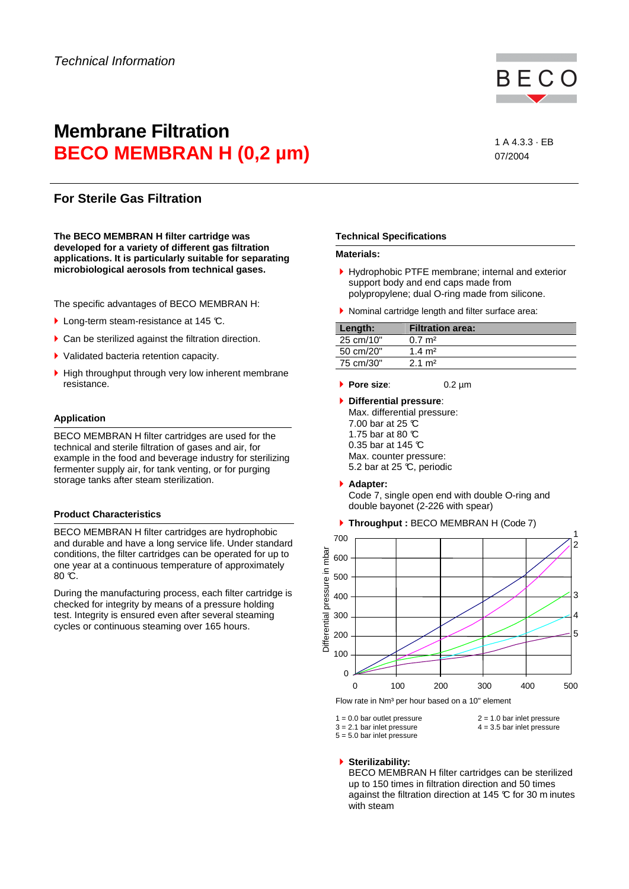# **Membrane Filtration BECO MEMBRAN H (0,2 µm)** 1A 4.3.3 · EB

07/2004

# **For Sterile Gas Filtration**

**The BECO MEMBRAN H filter cartridge was developed for a variety of different gas filtration applications. It is particularly suitable for separating microbiological aerosols from technical gases.** 

The specific advantages of BECO MEMBRAN H:

- **Long-term steam-resistance at 145 °C.**
- Can be sterilized against the filtration direction.
- ▶ Validated bacteria retention capacity.
- High throughput through very low inherent membrane resistance.

# **Application**

BECO MEMBRAN H filter cartridges are used for the technical and sterile filtration of gases and air, for example in the food and beverage industry for sterilizing fermenter supply air, for tank venting, or for purging storage tanks after steam sterilization.

## **Product Characteristics**

BECO MEMBRAN H filter cartridges are hydrophobic and durable and have a long service life. Under standard conditions, the filter cartridges can be operated for up to one year at a continuous temperature of approximately  $80 \, \mathrm{C}$ .

During the manufacturing process, each filter cartridge is checked for integrity by means of a pressure holding test. Integrity is ensured even after several steaming cycles or continuous steaming over 165 hours.

## **Technical Specifications**

#### **Materials:**

- Hydrophobic PTFE membrane; internal and exterior support body and end caps made from polypropylene; dual O-ring made from silicone.
- ▶ Nominal cartridge length and filter surface area:

| Length:   | <b>Filtration area:</b> |
|-----------|-------------------------|
| 25 cm/10" | $0.7 \text{ m}^2$       |
| 50 cm/20" | 1.4 $m2$                |
| 75 cm/30" | $2.1 \text{ m}^2$       |

- **Pore size**: 0.2 µm
- **Differential pressure**: Max. differential pressure: 7.00 bar at 25 °C 1.75 bar at 80 °C 0.35 bar at 145 °C Max. counter pressure: 5.2 bar at 25 °C, periodic
- **Adapter:**

Code 7, single open end with double O-ring and double bayonet (2-226 with spear)

**Throughput :** BECO MEMBRAN H (Code 7)



 $1 = 0.0$  bar outlet pressure  $2 = 1.0$  bar inlet pressure

 $3 = 2.1$  bar inlet pressure  $4 = 3.5$  bar inlet pressure  $5 = 5.0$  bar inlet pressure

#### **Sterilizability:**

BECO MEMBRAN H filter cartridges can be sterilized up to 150 times in filtration direction and 50 times against the filtration direction at 145 °C for 30 m inutes with steam